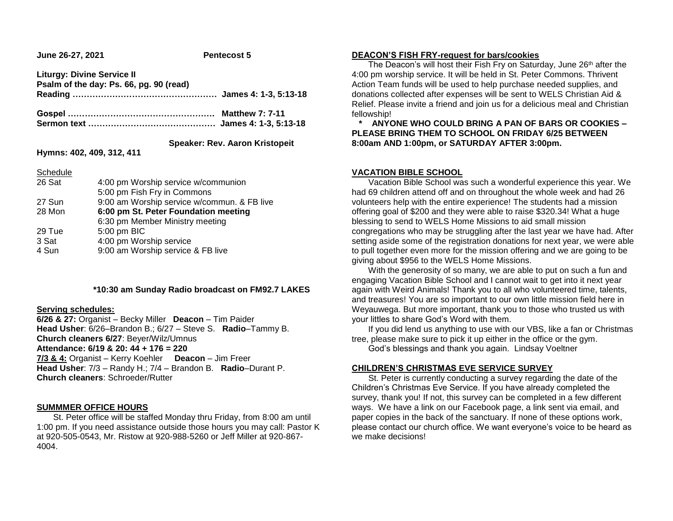**June 26-27, 2021 Pentecost 5**

**Liturgy: Divine Service II Psalm of the day: Ps. 66, pg. 90 (read) Reading …………………………………………… James 4: 1-3, 5:13-18 Gospel ……………………………………………. Matthew 7: 7-11**

**Sermon text ……………………………………… James 4: 1-3, 5:13-18**

# **Speaker: Rev. Aaron Kristopeit**

**Hymns: 402, 409, 312, 411**

Schedule

| <b>POLICULIC</b> |                                             |
|------------------|---------------------------------------------|
| 26 Sat           | 4:00 pm Worship service w/communion         |
|                  | 5:00 pm Fish Fry in Commons                 |
| 27 Sun           | 9:00 am Worship service w/commun. & FB live |
| 28 Mon           | 6:00 pm St. Peter Foundation meeting        |
|                  | 6:30 pm Member Ministry meeting             |
| 29 Tue           | 5:00 pm BIC                                 |
| 3 Sat            | 4:00 pm Worship service                     |
| 4 Sun            | 9:00 am Worship service & FB live           |
|                  |                                             |

## **\*10:30 am Sunday Radio broadcast on FM92.7 LAKES**

#### **Serving schedules:**

**6/26 & 27:** Organist – Becky Miller **Deacon** – Tim Paider **Head Usher**: 6/26–Brandon B.; 6/27 – Steve S. **Radio**–Tammy B. **Church cleaners 6/27**: Beyer/Wilz/Umnus **Attendance: 6/19 & 20: 44 + 176 = 220 7/3 & 4:** Organist – Kerry Koehler **Deacon** – Jim Freer **Head Usher**: 7/3 – Randy H.; 7/4 – Brandon B. **Radio**–Durant P. **Church cleaners**: Schroeder/Rutter

#### **SUMMMER OFFICE HOURS**

 St. Peter office will be staffed Monday thru Friday, from 8:00 am until 1:00 pm. If you need assistance outside those hours you may call: Pastor K at 920-505-0543, Mr. Ristow at 920-988-5260 or Jeff Miller at 920-867- 4004.

## **DEACON'S FISH FRY-request for bars/cookies**

The Deacon's will host their Fish Fry on Saturday, June 26<sup>th</sup> after the 4:00 pm worship service. It will be held in St. Peter Commons. Thrivent Action Team funds will be used to help purchase needed supplies, and donations collected after expenses will be sent to WELS Christian Aid & Relief. Please invite a friend and join us for a delicious meal and Christian fellowship!

 **\* ANYONE WHO COULD BRING A PAN OF BARS OR COOKIES – PLEASE BRING THEM TO SCHOOL ON FRIDAY 6/25 BETWEEN 8:00am AND 1:00pm, or SATURDAY AFTER 3:00pm.**

## **VACATION BIBLE SCHOOL**

 Vacation Bible School was such a wonderful experience this year. We had 69 children attend off and on throughout the whole week and had 26 volunteers help with the entire experience! The students had a mission offering goal of \$200 and they were able to raise \$320.34! What a huge blessing to send to WELS Home Missions to aid small mission congregations who may be struggling after the last year we have had. After setting aside some of the registration donations for next year, we were able to pull together even more for the mission offering and we are going to be giving about \$956 to the WELS Home Missions.

 With the generosity of so many, we are able to put on such a fun and engaging Vacation Bible School and I cannot wait to get into it next year again with Weird Animals! Thank you to all who volunteered time, talents, and treasures! You are so important to our own little mission field here in Weyauwega. But more important, thank you to those who trusted us with your littles to share God's Word with them.

 If you did lend us anything to use with our VBS, like a fan or Christmas tree, please make sure to pick it up either in the office or the gym.

God's blessings and thank you again. Lindsay Voeltner

## **CHILDREN'S CHRISTMAS EVE SERVICE SURVEY**

 St. Peter is currently conducting a survey regarding the date of the Children's Christmas Eve Service. If you have already completed the survey, thank you! If not, this survey can be completed in a few different ways. We have a link on our Facebook page, a link sent via email, and paper copies in the back of the sanctuary. If none of these options work, please contact our church office. We want everyone's voice to be heard as we make decisions!